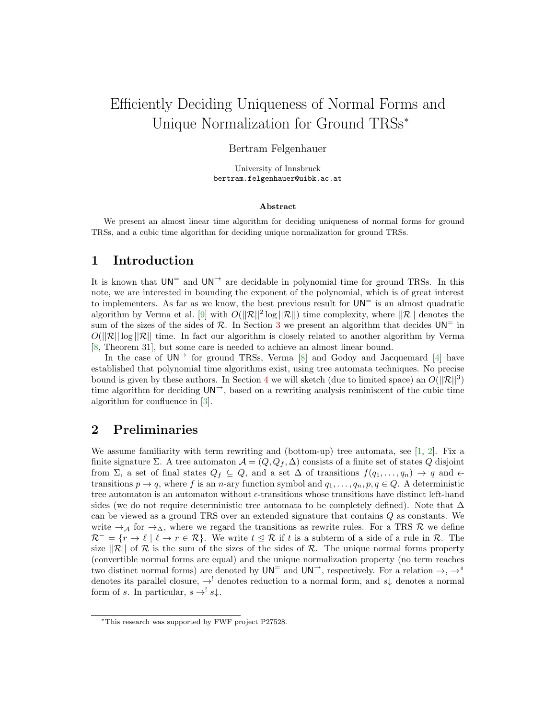# Efficiently Deciding Uniqueness of Normal Forms and Unique Normalization for Ground TRSs<sup>∗</sup>

### Bertram Felgenhauer

University of Innsbruck bertram.felgenhauer@uibk.ac.at

#### Abstract

We present an almost linear time algorithm for deciding uniqueness of normal forms for ground TRSs, and a cubic time algorithm for deciding unique normalization for ground TRSs.

## 1 Introduction

It is known that  $UN^=$  and  $UN^{\rightarrow}$  are decidable in polynomial time for ground TRSs. In this note, we are interested in bounding the exponent of the polynomial, which is of great interest to implementers. As far as we know, the best previous result for  $UN^=$  is an almost quadratic algorithm by Verma et al. [\[9\]](#page-4-0) with  $O(||\mathcal{R}||^2 \log ||\mathcal{R}||)$  time complexity, where  $||\mathcal{R}||$  denotes the sum of the sizes of the sides of  $\mathcal{R}$ . In Section [3](#page-1-0) we present an algorithm that decides  $UN^=$  in  $O(||\mathcal{R}|| \log ||\mathcal{R}||)$  time. In fact our algorithm is closely related to another algorithm by Verma [\[8,](#page-4-1) Theorem 31], but some care is needed to achieve an almost linear bound.

In the case of  $UN^{\rightarrow}$  for ground TRSs, Verma [\[8\]](#page-4-1) and Godoy and Jacquemard [\[4\]](#page-4-2) have established that polynomial time algorithms exist, using tree automata techniques. No precise bound is given by these authors. In Section [4](#page-3-0) we will sketch (due to limited space) an  $O(||\mathcal{R}||^3)$ time algorithm for deciding  $UN^{\rightarrow}$ , based on a rewriting analysis reminiscent of the cubic time algorithm for confluence in [\[3\]](#page-4-3).

## 2 Preliminaries

We assume familiarity with term rewriting and (bottom-up) tree automata, see  $[1, 2]$  $[1, 2]$  $[1, 2]$ . Fix a finite signature  $\Sigma$ . A tree automaton  $\mathcal{A} = (Q, Q_f, \Delta)$  consists of a finite set of states Q disjoint from  $\Sigma$ , a set of final states  $Q_f \subseteq Q$ , and a set  $\Delta$  of transitions  $f(q_1, \ldots, q_n) \to q$  and  $\epsilon$ transitions  $p \to q$ , where f is an n-ary function symbol and  $q_1, \ldots, q_n, p, q \in Q$ . A deterministic tree automaton is an automaton without  $\epsilon$ -transitions whose transitions have distinct left-hand sides (we do not require deterministic tree automata to be completely defined). Note that  $\Delta$ can be viewed as a ground TRS over an extended signature that contains Q as constants. We write  $\rightarrow_A$  for  $\rightarrow_{\Delta}$ , where we regard the transitions as rewrite rules. For a TRS R we define  $\mathcal{R}^- = \{r \to \ell \mid \ell \to r \in \mathcal{R}\}.$  We write  $t \leq \mathcal{R}$  if t is a subterm of a side of a rule in  $\mathcal{R}$ . The size  $||\mathcal{R}||$  of  $\mathcal R$  is the sum of the sizes of the sides of  $\mathcal R$ . The unique normal forms property (convertible normal forms are equal) and the unique normalization property (no term reaches two distinct normal forms) are denoted by  $UN^=$  and  $UN^{\rightarrow}$ , respectively. For a relation  $\rightarrow$ ,  $\rightarrow$ <sup>||</sup> denotes its parallel closure,  $\rightarrow$ <sup>!</sup> denotes reduction to a normal form, and s<sub>↓</sub> denotes a normal form of s. In particular,  $s \rightarrow ' s \downarrow$ .

<sup>∗</sup>This research was supported by FWF project P27528.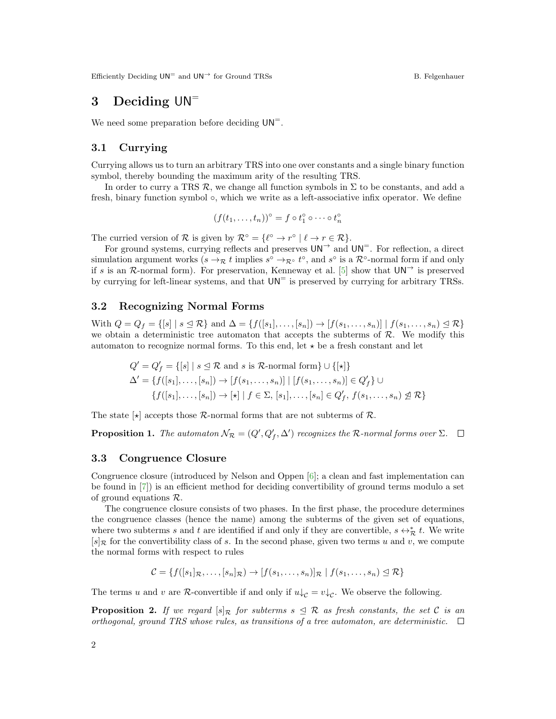Efficiently Deciding  $UN^=$  and  $UN^{\rightarrow}$  for Ground TRSs B. Felgenhauer

## <span id="page-1-0"></span>3 Deciding  $UN^=$

We need some preparation before deciding  $UN^=$ .

#### 3.1 Currying

Currying allows us to turn an arbitrary TRS into one over constants and a single binary function symbol, thereby bounding the maximum arity of the resulting TRS.

In order to curry a TRS  $\mathcal{R}$ , we change all function symbols in  $\Sigma$  to be constants, and add a fresh, binary function symbol ◦, which we write as a left-associative infix operator. We define

$$
(f(t_1,\ldots,t_n))^\circ = f \circ t_1^\circ \circ \cdots \circ t_n^\circ
$$

The curried version of R is given by  $\mathcal{R}^{\circ} = \{ \ell^{\circ} \to r^{\circ} \mid \ell \to r \in \mathcal{R} \}.$ 

For ground systems, currying reflects and preserves  $UN^{\rightarrow}$  and  $UN^{\equiv}$ . For reflection, a direct simulation argument works  $(s \to_{\mathcal{R}} t$  implies  $s^{\circ} \to_{\mathcal{R}^{\circ}} t^{\circ}$ , and  $s^{\circ}$  is a  $\mathcal{R}^{\circ}$ -normal form if and only if s is an R-normal form). For preservation, Kenneway et al. [\[5\]](#page-4-6) show that  $UN^{\rightarrow}$  is preserved by currying for left-linear systems, and that  $UN^=$  is preserved by currying for arbitrary TRSs.

#### 3.2 Recognizing Normal Forms

With  $Q = Q_f = \{ [s] \mid s \leq \mathcal{R} \}$  and  $\Delta = \{ f([s_1], \ldots, [s_n]) \rightarrow [f(s_1, \ldots, s_n)] \mid f(s_1, \ldots, s_n) \leq \mathcal{R} \}$ we obtain a deterministic tree automaton that accepts the subterms of  $R$ . We modify this automaton to recognize normal forms. To this end, let  $\star$  be a fresh constant and let

$$
Q' = Q'_f = \{ [s] \mid s \leq \mathcal{R} \text{ and } s \text{ is } \mathcal{R}\text{-normal form} \} \cup \{ [\star] \}
$$
  

$$
\Delta' = \{ f([s_1], \dots, [s_n]) \to [f(s_1, \dots, s_n)] \mid [f(s_1, \dots, s_n)] \in Q'_f \} \cup
$$
  

$$
\{ f([s_1], \dots, [s_n]) \to [\star] \mid f \in \Sigma, [s_1], \dots, [s_n] \in Q'_f, f(s_1, \dots, s_n) \not\subseteq \mathcal{R} \}
$$

The state  $\vert \star \vert$  accepts those R-normal forms that are not subterms of R.

**Proposition 1.** The automaton  $\mathcal{N}_{\mathcal{R}} = (Q', Q'_f, \Delta')$  recognizes the R-normal forms over  $\Sigma$ .

#### 3.3 Congruence Closure

Congruence closure (introduced by Nelson and Oppen [\[6\]](#page-4-7); a clean and fast implementation can be found in [\[7\]](#page-4-8)) is an efficient method for deciding convertibility of ground terms modulo a set of ground equations R.

The congruence closure consists of two phases. In the first phase, the procedure determines the congruence classes (hence the name) among the subterms of the given set of equations, where two subterms s and t are identified if and only if they are convertible,  $s \leftrightarrow_{\mathcal{R}}^* t$ . We write  $[s]$ <sub>R</sub> for the convertibility class of s. In the second phase, given two terms u and v, we compute the normal forms with respect to rules

$$
\mathcal{C} = \{f([s_1]_{\mathcal{R}}, \ldots, [s_n]_{\mathcal{R}}) \to [f(s_1, \ldots, s_n)]_{\mathcal{R}} \mid f(s_1, \ldots, s_n) \leq \mathcal{R}\}
$$

The terms u and v are R-convertible if and only if  $u\downarrow_c = v\downarrow_c$ . We observe the following.

**Proposition 2.** If we regard  $[s]_R$  for subterms  $s \leq R$  as fresh constants, the set C is an orthogonal, ground TRS whose rules, as transitions of a tree automaton, are deterministic.  $\Box$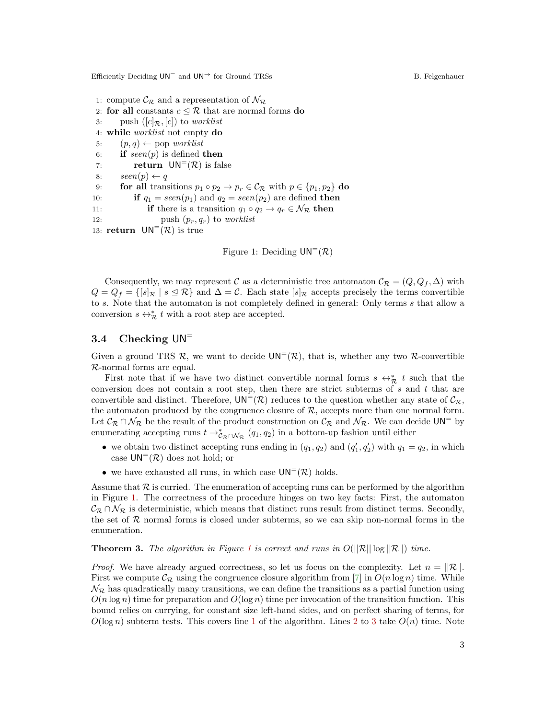Efficiently Deciding  $UN^=$  and  $UN^{\rightarrow}$  for Ground TRSs B. Felgenhauer

- <span id="page-2-1"></span>1: compute  $\mathcal{C}_{\mathcal{R}}$  and a representation of  $\mathcal{N}_{\mathcal{R}}$
- 2: for all constants  $c \leq \mathcal{R}$  that are normal forms do
- <span id="page-2-3"></span>3: push  $([c]_{\mathcal{R}}, [c])$  to worklist
- <span id="page-2-9"></span>4: while worklist not empty do
- 5:  $(p, q) \leftarrow pop \text{ worklist}$
- 6: if  $seen(p)$  is defined then
- <span id="page-2-10"></span><span id="page-2-6"></span>7: **return**  $UN^=(\mathcal{R})$  is false
- <span id="page-2-4"></span>8:  $seen(p) \leftarrow q$
- 9: **for all** transitions  $p_1 \circ p_2 \to p_r \in C_{\mathcal{R}}$  with  $p \in \{p_1, p_2\}$  do
- <span id="page-2-7"></span>10: **if**  $q_1 = seen(p_1)$  and  $q_2 = seen(p_2)$  are defined **then**
- <span id="page-2-8"></span>11: **if** there is a transition  $q_1 \circ q_2 \to q_r \in \mathcal{N}_{\mathcal{R}}$  then
- <span id="page-2-5"></span>12: push  $(p_r, q_r)$  to worklist

```
13: return UN^=(\mathcal{R}) is true
```
<span id="page-2-2"></span><span id="page-2-0"></span>Figure 1: Deciding  $UN^=(\mathcal{R})$ 

Consequently, we may represent C as a deterministic tree automaton  $\mathcal{C}_{\mathcal{R}} = (Q, Q_f, \Delta)$  with  $Q = Q_f = \{ [s]_\mathcal{R} \mid s \leq \mathcal{R} \}$  and  $\Delta = \mathcal{C}$ . Each state  $[s]_\mathcal{R}$  accepts precisely the terms convertible to s. Note that the automaton is not completely defined in general: Only terms s that allow a conversion  $s \leftrightarrow_{\mathcal{R}}^* t$  with a root step are accepted.

#### 3.4 Checking UN<sup>=</sup>

Given a ground TRS R, we want to decide  $UN^=(\mathcal{R})$ , that is, whether any two R-convertible R-normal forms are equal.

First note that if we have two distinct convertible normal forms  $s \leftrightarrow_{\mathcal{R}}^* t$  such that the conversion does not contain a root step, then there are strict subterms of  $s$  and  $t$  that are convertible and distinct. Therefore,  $UN^=(\mathcal{R})$  reduces to the question whether any state of  $\mathcal{C}_{\mathcal{R}}$ , the automaton produced by the congruence closure of  $R$ , accepts more than one normal form. Let  $\mathcal{C}_{\mathcal{R}} \cap \mathcal{N}_{\mathcal{R}}$  be the result of the product construction on  $\mathcal{C}_{\mathcal{R}}$  and  $\mathcal{N}_{\mathcal{R}}$ . We can decide  $UN^=$  by enumerating accepting runs  $t \to_{\mathcal{C}_{\mathcal{R}} \cap \mathcal{N}_{\mathcal{R}}}^{\ast} (q_1, q_2)$  in a bottom-up fashion until either

- we obtain two distinct accepting runs ending in  $(q_1, q_2)$  and  $(q'_1, q'_2)$  with  $q_1 = q_2$ , in which case  $UN^=(\mathcal{R})$  does not hold; or
- we have exhausted all runs, in which case  $UN^=(\mathcal{R})$  holds.

Assume that  $\mathcal R$  is curried. The enumeration of accepting runs can be performed by the algorithm in Figure [1.](#page-2-0) The correctness of the procedure hinges on two key facts: First, the automaton  $\mathcal{C}_{\mathcal{R}} \cap \mathcal{N}_{\mathcal{R}}$  is deterministic, which means that distinct runs result from distinct terms. Secondly, the set of  $R$  normal forms is closed under subterms, so we can skip non-normal forms in the enumeration.

**Theorem 3.** The algorithm in Figure [1](#page-2-0) is correct and runs in  $O(||\mathcal{R}|| \log ||\mathcal{R}||)$  time.

*Proof.* We have already argued correctness, so let us focus on the complexity. Let  $n = ||\mathcal{R}||$ . First we compute  $\mathcal{C}_{\mathcal{R}}$  using the congruence closure algorithm from [\[7\]](#page-4-8) in  $O(n \log n)$  time. While  $\mathcal{N}_{\mathcal{R}}$  has quadratically many transitions, we can define the transitions as a partial function using  $O(n \log n)$  time for preparation and  $O(\log n)$  time per invocation of the transition function. This bound relies on currying, for constant size left-hand sides, and on perfect sharing of terms, for  $O(\log n)$  subterm tests. This covers line [1](#page-2-1) of the algorithm. Lines [2](#page-2-2) to [3](#page-2-3) take  $O(n)$  time. Note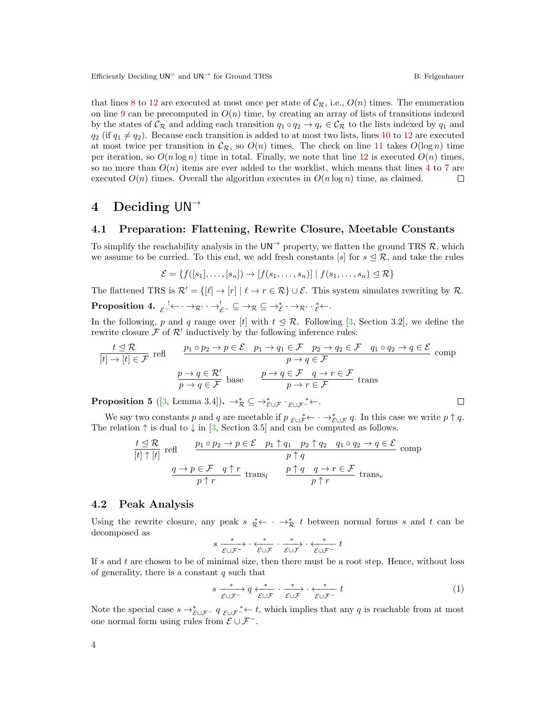Efficiently Deciding  $UN^=$  and  $UN^{\rightarrow}$  for Ground TRSs B. Felgenhauer

that lines [8](#page-2-4) to [12](#page-2-5) are executed at most once per state of  $\mathcal{C}_{\mathcal{R}}$ , i.e.,  $O(n)$  times. The enumeration on line [9](#page-2-6) can be precomputed in  $O(n)$  time, by creating an array of lists of transitions indexed by the states of  $C_R$  and adding each transition  $q_1 \circ q_2 \to q_r \in C_R$  to the lists indexed by  $q_1$  and  $q_2$  (if  $q_1 \neq q_2$ ). Because each transition is added to at most two lists, lines [10](#page-2-7) to [12](#page-2-5) are executed at most twice per transition in  $\mathcal{C}_{\mathcal{R}}$ , so  $O(n)$  times. The check on line [11](#page-2-8) takes  $O(\log n)$  time per iteration, so  $O(n \log n)$  time in total. Finally, we note that line [12](#page-2-5) is executed  $O(n)$  times, so no more than  $O(n)$  items are ever added to the worklist, which means that lines [4](#page-2-9) to [7](#page-2-10) are executed  $O(n)$  times. Overall the algorithm executes in  $O(n \log n)$  time, as claimed.  $\Box$ 

## <span id="page-3-0"></span>4 Deciding  $UN^{\rightarrow}$

### 4.1 Preparation: Flattening, Rewrite Closure, Meetable Constants

To simplify the reachability analysis in the UN<sup>→</sup> property, we flatten the ground TRS R, which we assume to be curried. To this end, we add fresh constants [s] for  $s \leq \mathcal{R}$ , and take the rules

$$
\mathcal{E} = \{f([s_1], \ldots, [s_n]) \to [f(s_1, \ldots, s_n)] \mid f(s_1, \ldots, s_n) \leq \mathcal{R}\}
$$

The flattened TRS is  $\mathcal{R}' = \{[\ell] \to [r] \mid \ell \to r \in \mathcal{R}\} \cup \mathcal{E}$ . This system simulates rewriting by  $\mathcal{R}$ .  $\textbf{Proposition 4.} \ \ _{\mathcal{E}}^{-1}\!\! \leftarrow \ \rightarrow_{\mathcal{R}'} \ \ \rightarrow_{\mathcal{E}^{-}} \ \ \subseteq \ \rightarrow_{\mathcal{R}} \ \subseteq \rightarrow_{\mathcal{E}}^* \ \ \rightarrow_{\mathcal{R}'} \ \ \ \cdot_{\mathcal{E}}^* \leftarrow \ \ \cdot$ 

In the following, p and q range over [t] with  $t \leq \mathcal{R}$ . Following [\[3,](#page-4-3) Section 3.2], we define the rewrite closure  $\mathcal F$  of  $\mathcal R'$  inductively by the following inference rules:

$$
\frac{t \trianglelefteq \mathcal{R}}{[t] \to [t] \in \mathcal{F}} \text{ refl} \qquad \frac{p_1 \circ p_2 \to p \in \mathcal{E} \quad p_1 \to q_1 \in \mathcal{F} \quad p_2 \to q_2 \in \mathcal{F} \quad q_1 \circ q_2 \to q \in \mathcal{E}}{p \to q \in \mathcal{F}} \text{ comp}
$$
\n
$$
\frac{p \to q \in \mathcal{R}'}{p \to q \in \mathcal{F}} \text{ base} \qquad \frac{p \to q \in \mathcal{F} \quad q \to r \in \mathcal{F}}{p \to r \in \mathcal{F}} \text{ trans}
$$

**Proposition 5** ([\[3,](#page-4-3) Lemma 3.4]).  $\rightarrow_{\mathcal{R}}^* \subseteq \rightarrow_{\mathcal{E}\cup\mathcal{F}}^* \cdot_{\mathcal{E}\cup\mathcal{F}}^* \leftarrow$ .

We say two constants p and q are meetable if  $p_{\mathcal{E} \cup \mathcal{F}} \leftarrow \cdots \rightarrow_{\mathcal{E} \cup \mathcal{F}} \mathcal{G}$ . In this case we write  $p \uparrow q$ . The relation  $\uparrow$  is dual to  $\downarrow$  in [\[3,](#page-4-3) Section 3.5] and can be computed as follows.

$$
\frac{t \leq \mathcal{R}}{[t] \uparrow [t]} \text{ refl} \qquad \frac{p_1 \circ p_2 \to p \in \mathcal{E} \quad p_1 \uparrow q_1 \quad p_2 \uparrow q_2 \quad q_1 \circ q_2 \to q \in \mathcal{E}}{p \uparrow q} \text{ comp}
$$
\n
$$
\frac{q \to p \in \mathcal{F} \quad q \uparrow r}{p \uparrow r} \text{ trans}_l \qquad \frac{p \uparrow q \quad q \to r \in \mathcal{F}}{p \uparrow r} \text{ trans}_r
$$

#### 4.2 Peak Analysis

Using the rewrite closure, any peak  $s \underset{\mathcal{R}}{\ast} \leftarrow \cdots \rightarrow_{\mathcal{R}}^* t$  between normal forms s and t can be decomposed as

$$
s \xrightarrow[\mathcal{E} \cup \mathcal{F}^-]{*} \cdot \xleftarrow[\mathcal{E} \cup \mathcal{F}]{*} \cdot \xrightarrow[\mathcal{E} \cup \mathcal{F}]{*} \cdot \xleftarrow[\mathcal{E} \cup \mathcal{F}^-]{*} t
$$

If s and t are chosen to be of minimal size, then there must be a root step. Hence, without loss of generality, there is a constant  $q$  such that

<span id="page-3-1"></span>
$$
s \xrightarrow{\ast} q \xleftarrow{\ast} \iota \mathcal{E} \cup \mathcal{F} \cdot \xrightarrow{\ast} \iota \mathcal{E} \cup \mathcal{F} \cdot \xleftarrow{\ast} t \tag{1}
$$

Note the special case  $s \to_{\mathcal{E} \cup \mathcal{F}^-}^* q_{\mathcal{E} \cup \mathcal{F}^+}$  t, which implies that any q is reachable from at most one normal form using rules from  $\mathcal{E} \cup \mathcal{F}^-$ .